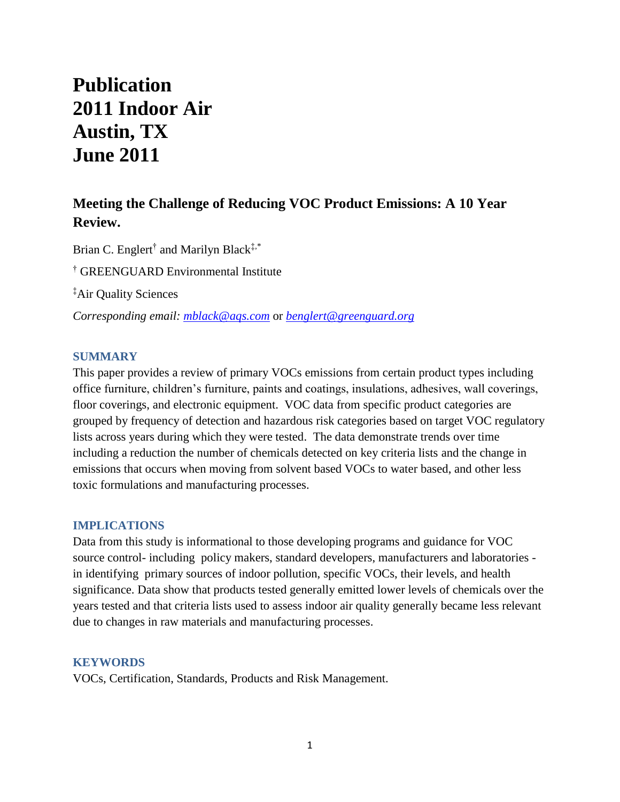# **Publication 2011 Indoor Air Austin, TX June 2011**

# **Meeting the Challenge of Reducing VOC Product Emissions: A 10 Year Review.**

Brian C. Englert<sup>†</sup> and Marilyn Black<sup>‡,\*</sup> † GREENGUARD Environmental Institute ‡Air Quality Sciences *Corresponding email: [mblack@aqs.com](mailto:mblack@aqs.com)* or *[benglert@greenguard.org](mailto:benglert@greenguard.org)*

## **SUMMARY**

This paper provides a review of primary VOCs emissions from certain product types including office furniture, children's furniture, paints and coatings, insulations, adhesives, wall coverings, floor coverings, and electronic equipment. VOC data from specific product categories are grouped by frequency of detection and hazardous risk categories based on target VOC regulatory lists across years during which they were tested. The data demonstrate trends over time including a reduction the number of chemicals detected on key criteria lists and the change in emissions that occurs when moving from solvent based VOCs to water based, and other less toxic formulations and manufacturing processes.

#### **IMPLICATIONS**

Data from this study is informational to those developing programs and guidance for VOC source control- including policy makers, standard developers, manufacturers and laboratories in identifying primary sources of indoor pollution, specific VOCs, their levels, and health significance. Data show that products tested generally emitted lower levels of chemicals over the years tested and that criteria lists used to assess indoor air quality generally became less relevant due to changes in raw materials and manufacturing processes.

#### **KEYWORDS**

VOCs, Certification, Standards, Products and Risk Management.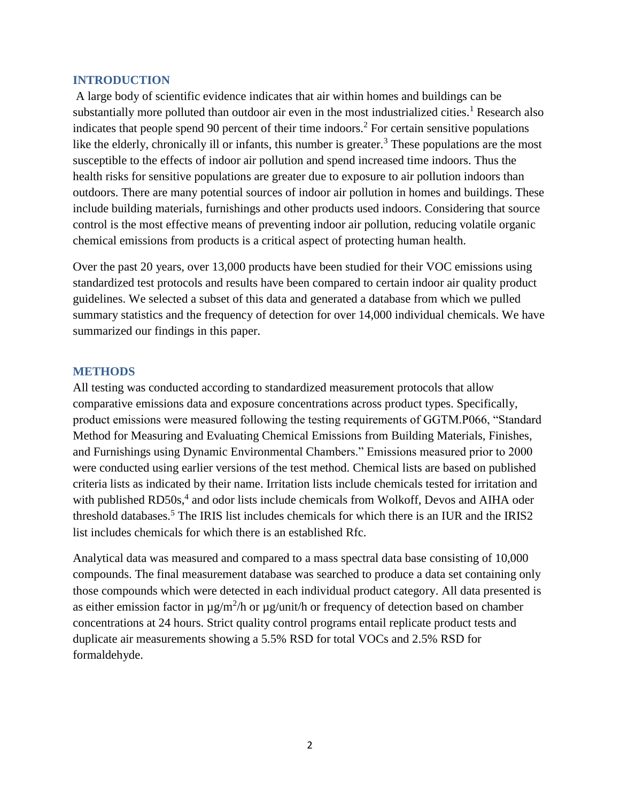#### **INTRODUCTION**

A large body of scientific evidence indicates that air within homes and buildings can be substantially more polluted than outdoor air even in the most industrialized cities.<sup>1</sup> Research also indicates that people spend 90 percent of their time indoors.<sup>2</sup> For certain sensitive populations like the elderly, chronically ill or infants, this number is greater.<sup>3</sup> These populations are the most susceptible to the effects of indoor air pollution and spend increased time indoors. Thus the health risks for sensitive populations are greater due to exposure to air pollution indoors than outdoors. There are many potential sources of indoor air pollution in homes and buildings. These include building materials, furnishings and other products used indoors. Considering that source control is the most effective means of preventing indoor air pollution, reducing volatile organic chemical emissions from products is a critical aspect of protecting human health.

Over the past 20 years, over 13,000 products have been studied for their VOC emissions using standardized test protocols and results have been compared to certain indoor air quality product guidelines. We selected a subset of this data and generated a database from which we pulled summary statistics and the frequency of detection for over 14,000 individual chemicals. We have summarized our findings in this paper.

#### **METHODS**

All testing was conducted according to standardized measurement protocols that allow comparative emissions data and exposure concentrations across product types. Specifically, product emissions were measured following the testing requirements of GGTM.P066, "Standard Method for Measuring and Evaluating Chemical Emissions from Building Materials, Finishes, and Furnishings using Dynamic Environmental Chambers." Emissions measured prior to 2000 were conducted using earlier versions of the test method. Chemical lists are based on published criteria lists as indicated by their name. Irritation lists include chemicals tested for irritation and with published RD50s,<sup>4</sup> and odor lists include chemicals from Wolkoff, Devos and AIHA oder threshold databases.<sup>5</sup> The IRIS list includes chemicals for which there is an IUR and the IRIS2 list includes chemicals for which there is an established Rfc.

Analytical data was measured and compared to a mass spectral data base consisting of 10,000 compounds. The final measurement database was searched to produce a data set containing only those compounds which were detected in each individual product category. All data presented is as either emission factor in  $\mu$ g/m<sup>2</sup>/h or  $\mu$ g/unit/h or frequency of detection based on chamber concentrations at 24 hours. Strict quality control programs entail replicate product tests and duplicate air measurements showing a 5.5% RSD for total VOCs and 2.5% RSD for formaldehyde.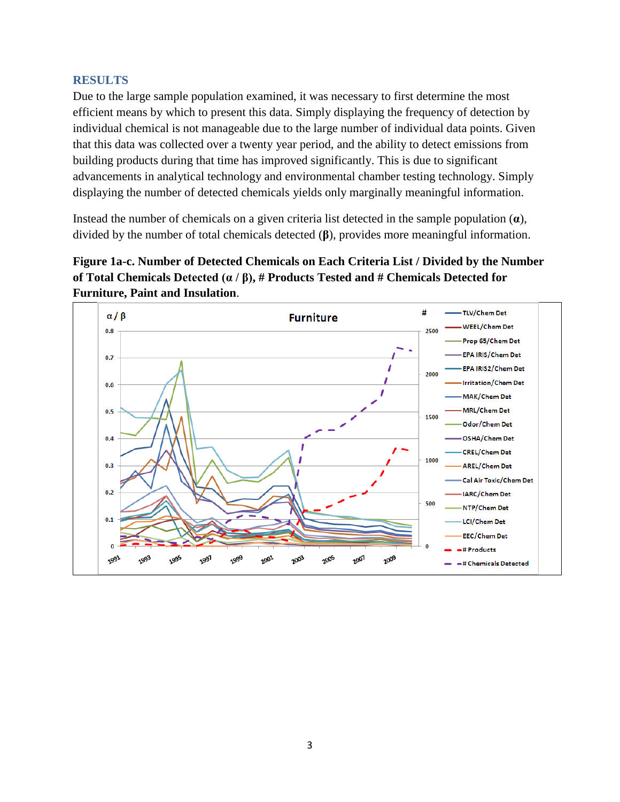# **RESULTS**

Due to the large sample population examined, it was necessary to first determine the most efficient means by which to present this data. Simply displaying the frequency of detection by individual chemical is not manageable due to the large number of individual data points. Given that this data was collected over a twenty year period, and the ability to detect emissions from building products during that time has improved significantly. This is due to significant advancements in analytical technology and environmental chamber testing technology. Simply displaying the number of detected chemicals yields only marginally meaningful information.

Instead the number of chemicals on a given criteria list detected in the sample population (**α**), divided by the number of total chemicals detected (**β**), provides more meaningful information.



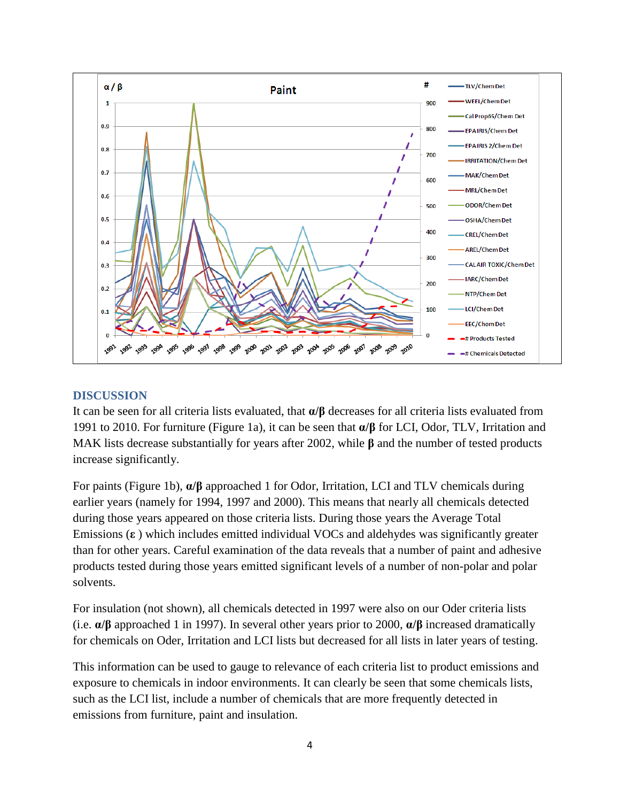

# **DISCUSSION**

It can be seen for all criteria lists evaluated, that **α/β** decreases for all criteria lists evaluated from 1991 to 2010. For furniture (Figure 1a), it can be seen that **α/β** for LCI, Odor, TLV, Irritation and MAK lists decrease substantially for years after 2002, while **β** and the number of tested products increase significantly.

For paints (Figure 1b), **α/β** approached 1 for Odor, Irritation, LCI and TLV chemicals during earlier years (namely for 1994, 1997 and 2000). This means that nearly all chemicals detected during those years appeared on those criteria lists. During those years the Average Total Emissions (**ε** ) which includes emitted individual VOCs and aldehydes was significantly greater than for other years. Careful examination of the data reveals that a number of paint and adhesive products tested during those years emitted significant levels of a number of non-polar and polar solvents.

For insulation (not shown), all chemicals detected in 1997 were also on our Oder criteria lists (i.e. **α/β** approached 1 in 1997). In several other years prior to 2000, **α/β** increased dramatically for chemicals on Oder, Irritation and LCI lists but decreased for all lists in later years of testing.

This information can be used to gauge to relevance of each criteria list to product emissions and exposure to chemicals in indoor environments. It can clearly be seen that some chemicals lists, such as the LCI list, include a number of chemicals that are more frequently detected in emissions from furniture, paint and insulation.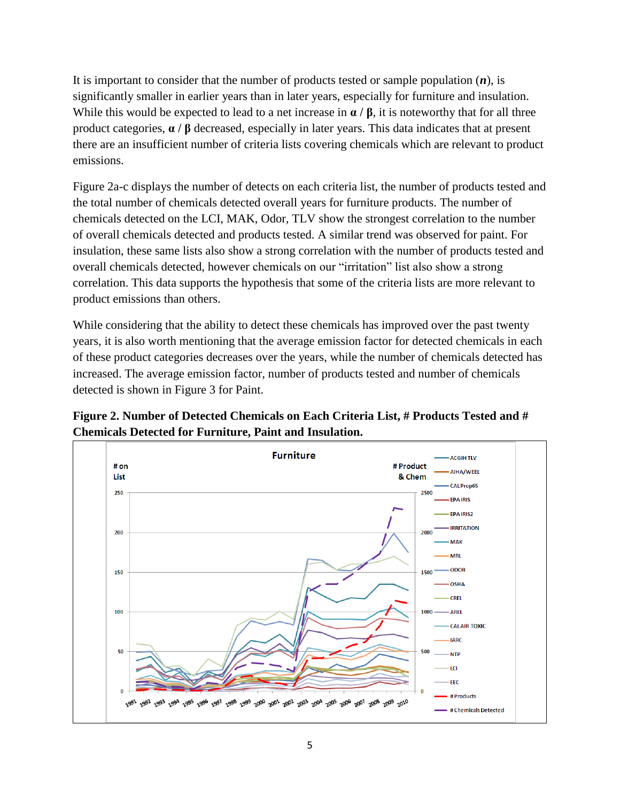It is important to consider that the number of products tested or sample population (*n*), is significantly smaller in earlier years than in later years, especially for furniture and insulation. While this would be expected to lead to a net increase in **α / β**, it is noteworthy that for all three product categories, **α / β** decreased, especially in later years. This data indicates that at present there are an insufficient number of criteria lists covering chemicals which are relevant to product emissions.

Figure 2a-c displays the number of detects on each criteria list, the number of products tested and the total number of chemicals detected overall years for furniture products. The number of chemicals detected on the LCI, MAK, Odor, TLV show the strongest correlation to the number of overall chemicals detected and products tested. A similar trend was observed for paint. For insulation, these same lists also show a strong correlation with the number of products tested and overall chemicals detected, however chemicals on our "irritation" list also show a strong correlation. This data supports the hypothesis that some of the criteria lists are more relevant to product emissions than others.

While considering that the ability to detect these chemicals has improved over the past twenty years, it is also worth mentioning that the average emission factor for detected chemicals in each of these product categories decreases over the years, while the number of chemicals detected has increased. The average emission factor, number of products tested and number of chemicals detected is shown in Figure 3 for Paint.

**Figure 2. Number of Detected Chemicals on Each Criteria List, # Products Tested and # Chemicals Detected for Furniture, Paint and Insulation.**

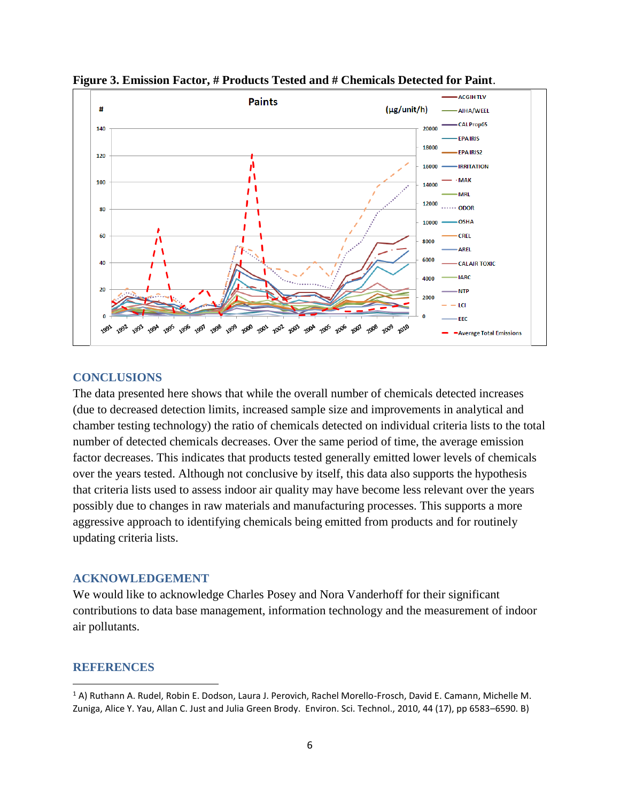

**Figure 3. Emission Factor, # Products Tested and # Chemicals Detected for Paint**.

## **CONCLUSIONS**

The data presented here shows that while the overall number of chemicals detected increases (due to decreased detection limits, increased sample size and improvements in analytical and chamber testing technology) the ratio of chemicals detected on individual criteria lists to the total number of detected chemicals decreases. Over the same period of time, the average emission factor decreases. This indicates that products tested generally emitted lower levels of chemicals over the years tested. Although not conclusive by itself, this data also supports the hypothesis that criteria lists used to assess indoor air quality may have become less relevant over the years possibly due to changes in raw materials and manufacturing processes. This supports a more aggressive approach to identifying chemicals being emitted from products and for routinely updating criteria lists.

#### **ACKNOWLEDGEMENT**

We would like to acknowledge Charles Posey and Nora Vanderhoff for their significant contributions to data base management, information technology and the measurement of indoor air pollutants.

#### **REFERENCES**

l

<sup>1</sup> A) Ruthann A. Rudel, Robin E. Dodson, Laura J. Perovich, Rachel Morello-Frosch, David E. Camann, Michelle M. Zuniga, Alice Y. Yau, Allan C. Just and Julia Green Brody. Environ. Sci. Technol., 2010, 44 (17), pp 6583–6590. B)